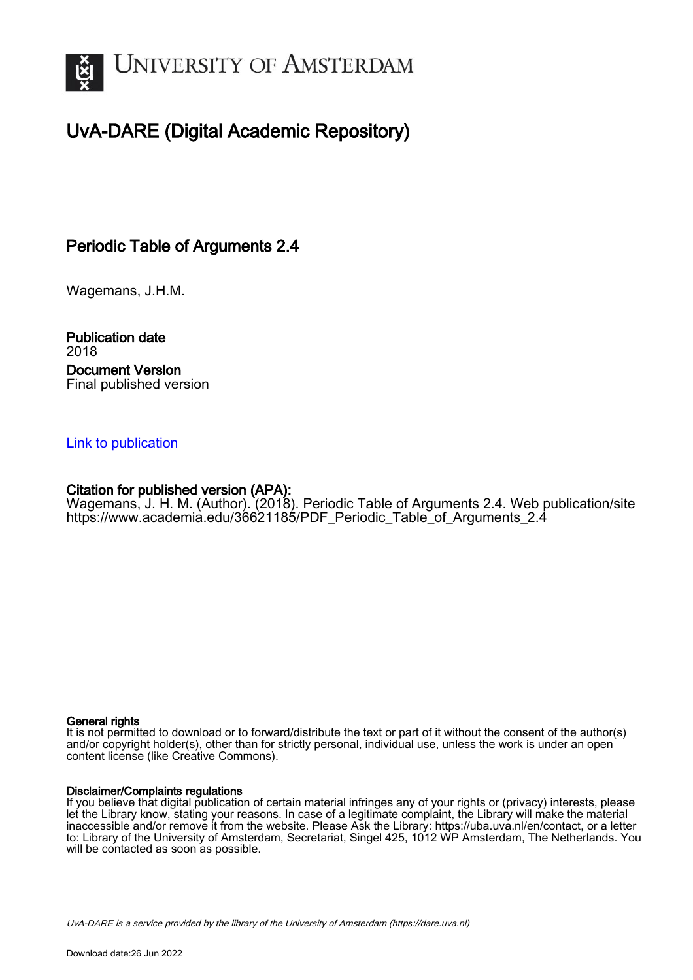

# UvA-DARE (Digital Academic Repository)

## Periodic Table of Arguments 2.4

Wagemans, J.H.M.

Publication date 2018 Document Version Final published version

### [Link to publication](https://dare.uva.nl/personal/pure/en/publications/periodic-table-of-arguments-24(2541edb6-6e2d-48e5-b469-83d6ac31a5ad).html)

## Citation for published version (APA):

Wagemans, J. H. M. (Author). (2018). Periodic Table of Arguments 2.4. Web publication/site [https://www.academia.edu/36621185/PDF\\_Periodic\\_Table\\_of\\_Arguments\\_2.4](https://www.academia.edu/36621185/PDF_Periodic_Table_of_Arguments_2.4)

#### General rights

It is not permitted to download or to forward/distribute the text or part of it without the consent of the author(s) and/or copyright holder(s), other than for strictly personal, individual use, unless the work is under an open content license (like Creative Commons).

#### Disclaimer/Complaints regulations

If you believe that digital publication of certain material infringes any of your rights or (privacy) interests, please let the Library know, stating your reasons. In case of a legitimate complaint, the Library will make the material inaccessible and/or remove it from the website. Please Ask the Library: https://uba.uva.nl/en/contact, or a letter to: Library of the University of Amsterdam, Secretariat, Singel 425, 1012 WP Amsterdam, The Netherlands. You will be contacted as soon as possible.